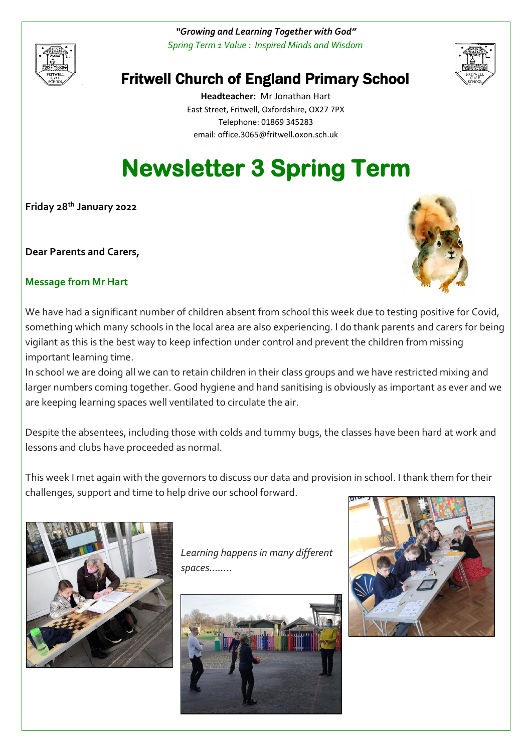

*"Growing and Learning Together with God" Spring Term 1 Value : Inspired Minds and Wisdom*



# Fritwell Church of England Primary School

**Headteacher:** Mr Jonathan Hart East Street, Fritwell, Oxfordshire, OX27 7PX Telephone: 01869 345283 [email: office.3065@f](mailto:email:%20office.3065@)ritwell.oxon.sch.uk

# **Newsletter 3 Spring Term**

**Friday 28 th January 2022**

**Dear Parents and Carers,**



# **Message from Mr Hart**

We have had a significant number of children absent from school this week due to testing positive for Covid, something which many schools in the local area are also experiencing. I do thank parents and carers for being vigilant as this is the best way to keep infection under control and prevent the children from missing important learning time.

In school we are doing all we can to retain children in their class groups and we have restricted mixing and larger numbers coming together. Good hygiene and hand sanitising is obviously as important as ever and we are keeping learning spaces well ventilated to circulate the air.

Despite the absentees, including those with colds and tummy bugs, the classes have been hard at work and lessons and clubs have proceeded as normal.

This week I met again with the governors to discuss our data and provision in school. I thank them for their challenges, support and time to help drive our school forward.



*Learning happens in many different spaces……..*



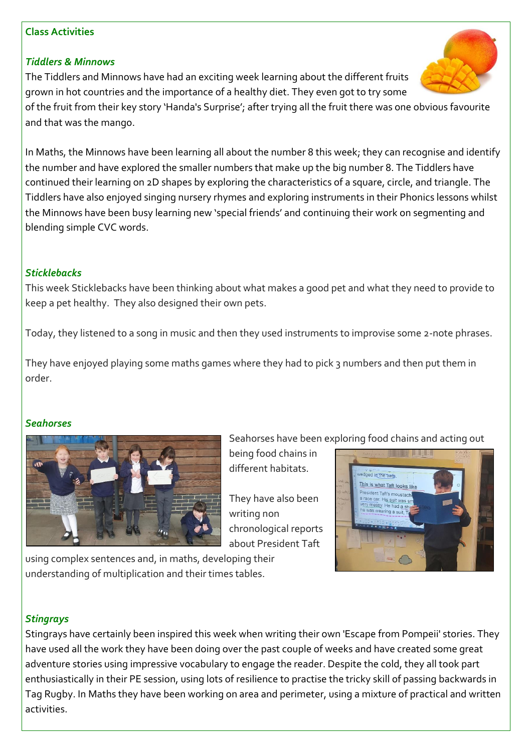#### **Class Activities**

#### *Tiddlers & Minnows*

The Tiddlers and Minnows have had an exciting week learning about the different fruits grown in hot countries and the importance of a healthy diet. They even got to try some

of the fruit from their key story 'Handa's Surprise'; after trying all the fruit there was one obvious favourite and that was the mango.

In Maths, the Minnows have been learning all about the number 8 this week; they can recognise and identify the number and have explored the smaller numbers that make up the big number 8. The Tiddlers have continued their learning on 2D shapes by exploring the characteristics of a square, circle, and triangle. The Tiddlers have also enjoyed singing nursery rhymes and exploring instruments in their Phonics lessons whilst the Minnows have been busy learning new 'special friends' and continuing their work on segmenting and blending simple CVC words.

#### *Sticklebacks*

This week Sticklebacks have been thinking about what makes a good pet and what they need to provide to keep a pet healthy. They also designed their own pets.

Today, they listened to a song in music and then they used instruments to improvise some 2-note phrases.

They have enjoyed playing some maths games where they had to pick 3 numbers and then put them in order.

#### *Seahorses*



Seahorses have been exploring food chains and acting out being food chains in

They have also been writing non chronological reports about President Taft

different habitats.





# *Stingrays*

Stingrays have certainly been inspired this week when writing their own 'Escape from Pompeii' stories. They have used all the work they have been doing over the past couple of weeks and have created some great adventure stories using impressive vocabulary to engage the reader. Despite the cold, they all took part enthusiastically in their PE session, using lots of resilience to practise the tricky skill of passing backwards in Tag Rugby. In Maths they have been working on area and perimeter, using a mixture of practical and written activities.

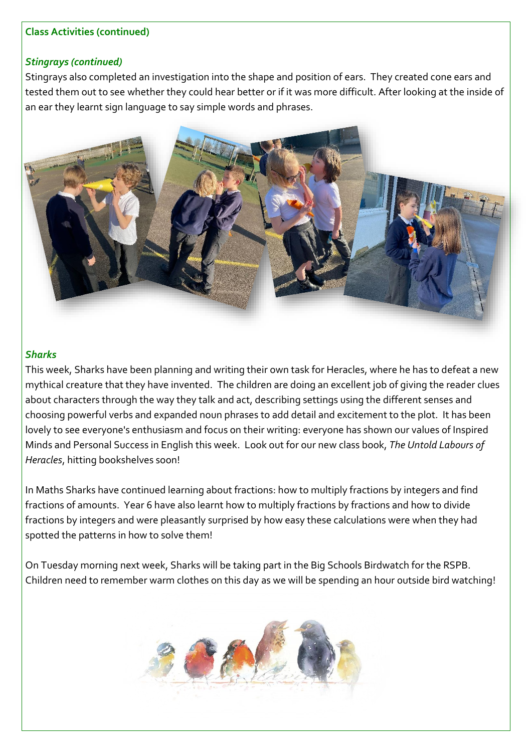#### **Class Activities (continued)**

#### *Stingrays (continued)*

Stingrays also completed an investigation into the shape and position of ears. They created cone ears and tested them out to see whether they could hear better or if it was more difficult. After looking at the inside of an ear they learnt sign language to say simple words and phrases.



#### *Sharks*

This week, Sharks have been planning and writing their own task for Heracles, where he has to defeat a new mythical creature that they have invented. The children are doing an excellent job of giving the reader clues about characters through the way they talk and act, describing settings using the different senses and choosing powerful verbs and expanded noun phrases to add detail and excitement to the plot. It has been lovely to see everyone's enthusiasm and focus on their writing: everyone has shown our values of Inspired Minds and Personal Success in English this week. Look out for our new class book, *The Untold Labours of Heracles*, hitting bookshelves soon!

In Maths Sharks have continued learning about fractions: how to multiply fractions by integers and find fractions of amounts. Year 6 have also learnt how to multiply fractions by fractions and how to divide fractions by integers and were pleasantly surprised by how easy these calculations were when they had spotted the patterns in how to solve them!

On Tuesday morning next week, Sharks will be taking part in the Big Schools Birdwatch for the RSPB. Children need to remember warm clothes on this day as we will be spending an hour outside bird watching!

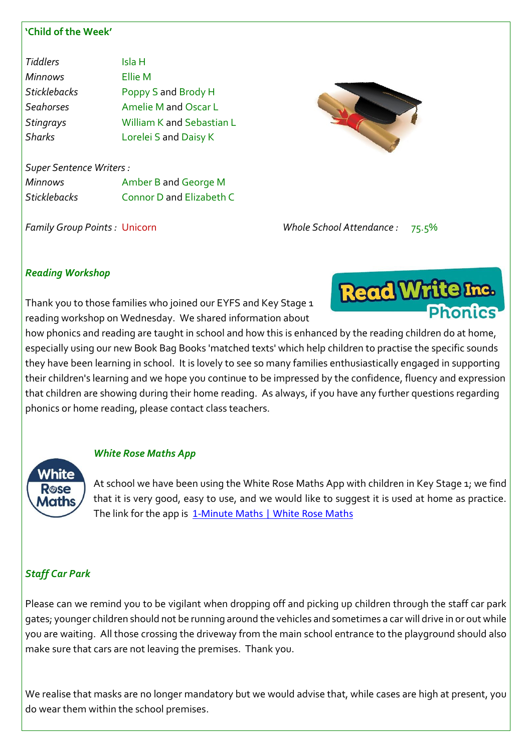#### **'Child of the Week'**

| <b>Tiddlers</b>     | Isla H                    |
|---------------------|---------------------------|
| <b>Minnows</b>      | <b>Ellie M</b>            |
| <b>Sticklebacks</b> | Poppy S and Brody H       |
| Seahorses           | Amelie M and Oscar L      |
| <b>Stingrays</b>    | William K and Sebastian L |
| <b>Sharks</b>       | Lorelei S and Daisy K     |
|                     |                           |

*Super Sentence Writers : Minnows* Amber B and George M

*Sticklebacks* Connor D and Elizabeth C

*Family Group Points :* Unicorn *Whole School Attendance :* 75.5%

# *Reading Workshop*

Thank you to those families who joined our EYFS and Key Stage 1 reading workshop on Wednesday. We shared information about

how phonics and reading are taught in school and how this is enhanced by the reading children do at home, especially using our new Book Bag Books 'matched texts' which help children to practise the specific sounds they have been learning in school. It is lovely to see so many families enthusiastically engaged in supporting their children's learning and we hope you continue to be impressed by the confidence, fluency and expression that children are showing during their home reading. As always, if you have any further questions regarding phonics or home reading, please contact class teachers.

**White** Rose Maths

# *White Rose Maths App*

At school we have been using the White Rose Maths App with children in Key Stage 1; we find that it is very good, easy to use, and we would like to suggest it is used at home as practice. The link for the app is [1-Minute Maths | White Rose Maths](https://whiterosemaths.com/resources/1-minute-maths)

# *Staff Car Park*

Please can we remind you to be vigilant when dropping off and picking up children through the staff car park gates; younger children should not be running around the vehicles and sometimes a car will drive in or out while you are waiting. All those crossing the driveway from the main school entrance to the playground should also make sure that cars are not leaving the premises. Thank you.

We realise that masks are no longer mandatory but we would advise that, while cases are high at present, you do wear them within the school premises.